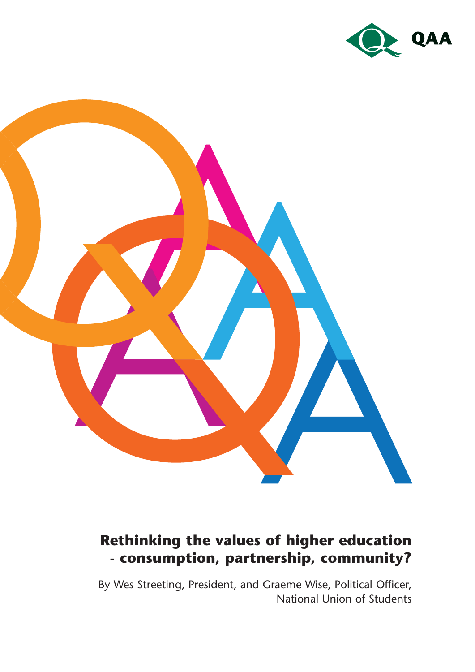



# **Rethinking the values of higher education - consumption, partnership, community?**

By Wes Streeting, President, and Graeme Wise, Political Officer, National Union of Students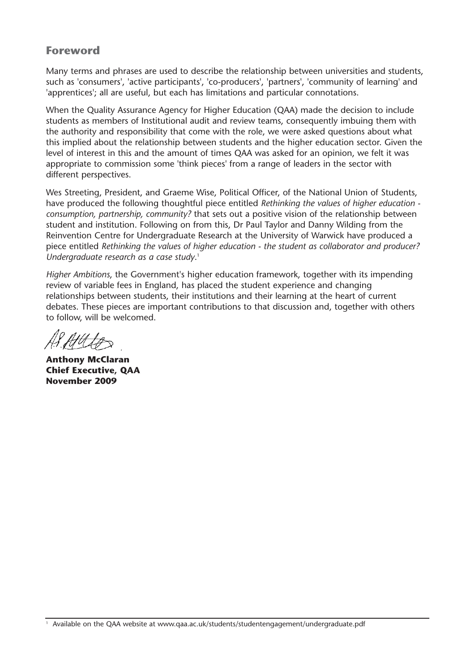### **Foreword**

Many terms and phrases are used to describe the relationship between universities and students, such as 'consumers', 'active participants', 'co-producers', 'partners', 'community of learning' and 'apprentices'; all are useful, but each has limitations and particular connotations.

When the Quality Assurance Agency for Higher Education (QAA) made the decision to include students as members of Institutional audit and review teams, consequently imbuing them with the authority and responsibility that come with the role, we were asked questions about what this implied about the relationship between students and the higher education sector. Given the level of interest in this and the amount of times QAA was asked for an opinion, we felt it was appropriate to commission some 'think pieces' from a range of leaders in the sector with different perspectives.

Wes Streeting, President, and Graeme Wise, Political Officer, of the National Union of Students, have produced the following thoughtful piece entitled *Rethinking the values of higher education consumption, partnership, community?* that sets out a positive vision of the relationship between student and institution. Following on from this, Dr Paul Taylor and Danny Wilding from the Reinvention Centre for Undergraduate Research at the University of Warwick have produced a piece entitled *Rethinking the values of higher education - the student as collaborator and producer? Undergraduate research as a case study*. 1

*Higher Ambitions*, the Government's higher education framework, together with its impending review of variable fees in England, has placed the student experience and changing relationships between students, their institutions and their learning at the heart of current debates. These pieces are important contributions to that discussion and, together with others to follow, will be welcomed.

AH LA

**Anthony McClaran Chief Executive, QAA November 2009**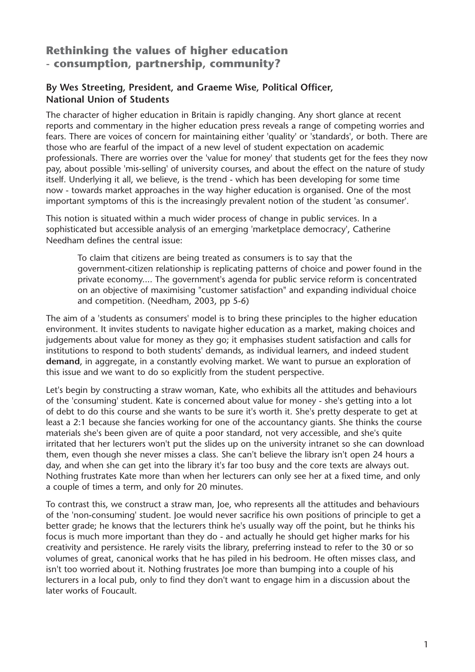## **Rethinking the values of higher education - consumption, partnership, community?**

#### **By Wes Streeting, President, and Graeme Wise, Political Officer, National Union of Students**

The character of higher education in Britain is rapidly changing. Any short glance at recent reports and commentary in the higher education press reveals a range of competing worries and fears. There are voices of concern for maintaining either 'quality' or 'standards', or both. There are those who are fearful of the impact of a new level of student expectation on academic professionals. There are worries over the 'value for money' that students get for the fees they now pay, about possible 'mis-selling' of university courses, and about the effect on the nature of study itself. Underlying it all, we believe, is the trend - which has been developing for some time now - towards market approaches in the way higher education is organised. One of the most important symptoms of this is the increasingly prevalent notion of the student 'as consumer'.

This notion is situated within a much wider process of change in public services. In a sophisticated but accessible analysis of an emerging 'marketplace democracy', Catherine Needham defines the central issue:

To claim that citizens are being treated as consumers is to say that the government-citizen relationship is replicating patterns of choice and power found in the private economy.... The government's agenda for public service reform is concentrated on an objective of maximising "customer satisfaction" and expanding individual choice and competition. (Needham, 2003, pp 5-6)

The aim of a 'students as consumers' model is to bring these principles to the higher education environment. It invites students to navigate higher education as a market, making choices and judgements about value for money as they go; it emphasises student satisfaction and calls for institutions to respond to both students' demands, as individual learners, and indeed student **demand**, in aggregate, in a constantly evolving market. We want to pursue an exploration of this issue and we want to do so explicitly from the student perspective.

Let's begin by constructing a straw woman, Kate, who exhibits all the attitudes and behaviours of the 'consuming' student. Kate is concerned about value for money - she's getting into a lot of debt to do this course and she wants to be sure it's worth it. She's pretty desperate to get at least a 2:1 because she fancies working for one of the accountancy giants. She thinks the course materials she's been given are of quite a poor standard, not very accessible, and she's quite irritated that her lecturers won't put the slides up on the university intranet so she can download them, even though she never misses a class. She can't believe the library isn't open 24 hours a day, and when she can get into the library it's far too busy and the core texts are always out. Nothing frustrates Kate more than when her lecturers can only see her at a fixed time, and only a couple of times a term, and only for 20 minutes.

To contrast this, we construct a straw man, Joe, who represents all the attitudes and behaviours of the 'non-consuming' student. Joe would never sacrifice his own positions of principle to get a better grade; he knows that the lecturers think he's usually way off the point, but he thinks his focus is much more important than they do - and actually he should get higher marks for his creativity and persistence. He rarely visits the library, preferring instead to refer to the 30 or so volumes of great, canonical works that he has piled in his bedroom. He often misses class, and isn't too worried about it. Nothing frustrates Joe more than bumping into a couple of his lecturers in a local pub, only to find they don't want to engage him in a discussion about the later works of Foucault.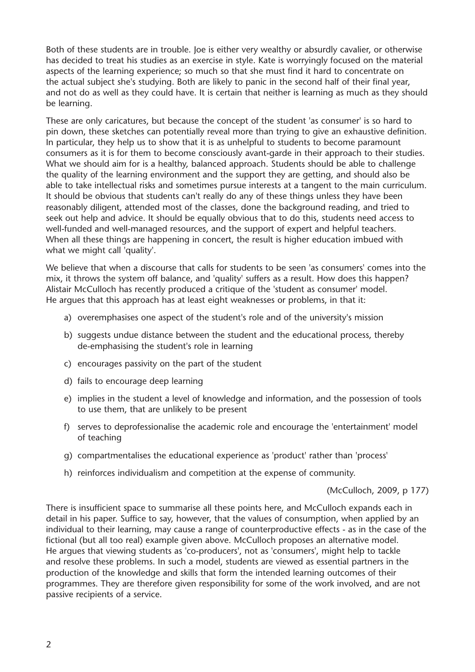Both of these students are in trouble. Joe is either very wealthy or absurdly cavalier, or otherwise has decided to treat his studies as an exercise in style. Kate is worryingly focused on the material aspects of the learning experience; so much so that she must find it hard to concentrate on the actual subject she's studying. Both are likely to panic in the second half of their final year, and not do as well as they could have. It is certain that neither is learning as much as they should be learning.

These are only caricatures, but because the concept of the student 'as consumer' is so hard to pin down, these sketches can potentially reveal more than trying to give an exhaustive definition. In particular, they help us to show that it is as unhelpful to students to become paramount consumers as it is for them to become consciously avant-garde in their approach to their studies. What we should aim for is a healthy, balanced approach. Students should be able to challenge the quality of the learning environment and the support they are getting, and should also be able to take intellectual risks and sometimes pursue interests at a tangent to the main curriculum. It should be obvious that students can't really do any of these things unless they have been reasonably diligent, attended most of the classes, done the background reading, and tried to seek out help and advice. It should be equally obvious that to do this, students need access to well-funded and well-managed resources, and the support of expert and helpful teachers. When all these things are happening in concert, the result is higher education imbued with what we might call 'quality'.

We believe that when a discourse that calls for students to be seen 'as consumers' comes into the mix, it throws the system off balance, and 'quality' suffers as a result. How does this happen? Alistair McCulloch has recently produced a critique of the 'student as consumer' model. He argues that this approach has at least eight weaknesses or problems, in that it:

- a) overemphasises one aspect of the student's role and of the university's mission
- b) suggests undue distance between the student and the educational process, thereby de-emphasising the student's role in learning
- c) encourages passivity on the part of the student
- d) fails to encourage deep learning
- e) implies in the student a level of knowledge and information, and the possession of tools to use them, that are unlikely to be present
- f) serves to deprofessionalise the academic role and encourage the 'entertainment' model of teaching
- g) compartmentalises the educational experience as 'product' rather than 'process'
- h) reinforces individualism and competition at the expense of community.

(McCulloch, 2009, p 177)

There is insufficient space to summarise all these points here, and McCulloch expands each in detail in his paper. Suffice to say, however, that the values of consumption, when applied by an individual to their learning, may cause a range of counterproductive effects - as in the case of the fictional (but all too real) example given above. McCulloch proposes an alternative model. He argues that viewing students as 'co-producers', not as 'consumers', might help to tackle and resolve these problems. In such a model, students are viewed as essential partners in the production of the knowledge and skills that form the intended learning outcomes of their programmes. They are therefore given responsibility for some of the work involved, and are not passive recipients of a service.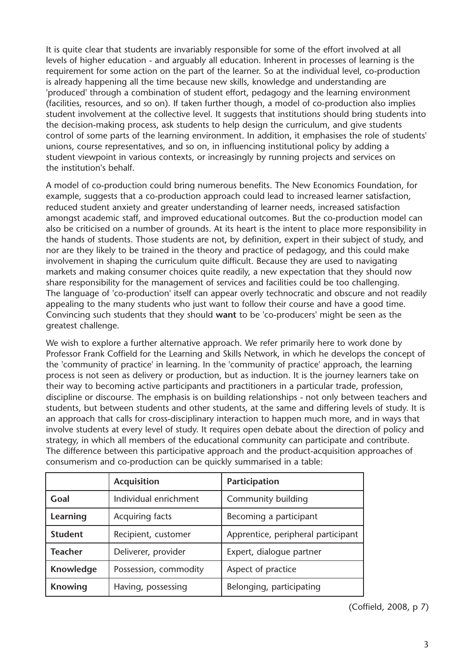It is quite clear that students are invariably responsible for some of the effort involved at all levels of higher education - and arguably all education. Inherent in processes of learning is the requirement for some action on the part of the learner. So at the individual level, co-production is already happening all the time because new skills, knowledge and understanding are 'produced' through a combination of student effort, pedagogy and the learning environment (facilities, resources, and so on). If taken further though, a model of co-production also implies student involvement at the collective level. It suggests that institutions should bring students into the decision-making process, ask students to help design the curriculum, and give students control of some parts of the learning environment. In addition, it emphasises the role of students' unions, course representatives, and so on, in influencing institutional policy by adding a student viewpoint in various contexts, or increasingly by running projects and services on the institution's behalf.

A model of co-production could bring numerous benefits. The New Economics Foundation, for example, suggests that a co-production approach could lead to increased learner satisfaction, reduced student anxiety and greater understanding of learner needs, increased satisfaction amongst academic staff, and improved educational outcomes. But the co-production model can also be criticised on a number of grounds. At its heart is the intent to place more responsibility in the hands of students. Those students are not, by definition, expert in their subject of study, and nor are they likely to be trained in the theory and practice of pedagogy, and this could make involvement in shaping the curriculum quite difficult. Because they are used to navigating markets and making consumer choices quite readily, a new expectation that they should now share responsibility for the management of services and facilities could be too challenging. The language of 'co-production' itself can appear overly technocratic and obscure and not readily appealing to the many students who just want to follow their course and have a good time. Convincing such students that they should **want** to be 'co-producers' might be seen as the greatest challenge.

We wish to explore a further alternative approach. We refer primarily here to work done by Professor Frank Coffield for the Learning and Skills Network, in which he develops the concept of the 'community of practice' in learning. In the 'community of practice' approach, the learning process is not seen as delivery or production, but as induction. It is the journey learners take on their way to becoming active participants and practitioners in a particular trade, profession, discipline or discourse. The emphasis is on building relationships - not only between teachers and students, but between students and other students, at the same and differing levels of study. It is an approach that calls for cross-disciplinary interaction to happen much more, and in ways that involve students at every level of study. It requires open debate about the direction of policy and strategy, in which all members of the educational community can participate and contribute. The difference between this participative approach and the product-acquisition approaches of consumerism and co-production can be quickly summarised in a table:

|                | <b>Acquisition</b>    | Participation                      |
|----------------|-----------------------|------------------------------------|
| Goal           | Individual enrichment | Community building                 |
| Learning       | Acquiring facts       | Becoming a participant             |
| <b>Student</b> | Recipient, customer   | Apprentice, peripheral participant |
| <b>Teacher</b> | Deliverer, provider   | Expert, dialogue partner           |
| Knowledge      | Possession, commodity | Aspect of practice                 |
| <b>Knowing</b> | Having, possessing    | Belonging, participating           |

(Coffield, 2008, p 7)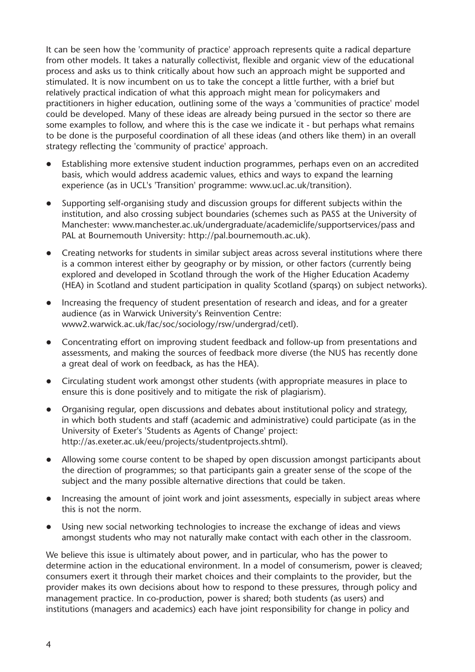It can be seen how the 'community of practice' approach represents quite a radical departure from other models. It takes a naturally collectivist, flexible and organic view of the educational process and asks us to think critically about how such an approach might be supported and stimulated. It is now incumbent on us to take the concept a little further, with a brief but relatively practical indication of what this approach might mean for policymakers and practitioners in higher education, outlining some of the ways a 'communities of practice' model could be developed. Many of these ideas are already being pursued in the sector so there are some examples to follow, and where this is the case we indicate it - but perhaps what remains to be done is the purposeful coordination of all these ideas (and others like them) in an overall strategy reflecting the 'community of practice' approach.

- Establishing more extensive student induction programmes, perhaps even on an accredited basis, which would address academic values, ethics and ways to expand the learning experience (as in UCL's 'Transition' programme: www.ucl.ac.uk/transition).
- Supporting self-organising study and discussion groups for different subjects within the institution, and also crossing subject boundaries (schemes such as PASS at the University of Manchester: www.manchester.ac.uk/undergraduate/academiclife/supportservices/pass and PAL at Bournemouth University: http://pal.bournemouth.ac.uk).
- Creating networks for students in similar subject areas across several institutions where there is a common interest either by geography or by mission, or other factors (currently being explored and developed in Scotland through the work of the Higher Education Academy (HEA) in Scotland and student participation in quality Scotland (sparqs) on subject networks).
- Increasing the frequency of student presentation of research and ideas, and for a greater audience (as in Warwick University's Reinvention Centre: <www2.warwick.ac.uk/fac/soc/sociology/rsw/undergrad/cetl>).
- Concentrating effort on improving student feedback and follow-up from presentations and assessments, and making the sources of feedback more diverse (the NUS has recently done a great deal of work on feedback, as has the HEA).
- Circulating student work amongst other students (with appropriate measures in place to ensure this is done positively and to mitigate the risk of plagiarism).
- Organising regular, open discussions and debates about institutional policy and strategy, in which both students and staff (academic and administrative) could participate (as in the University of Exeter's 'Students as Agents of Change' project: http://as.exeter.ac.uk/eeu/projects/studentprojects.shtml).
- Allowing some course content to be shaped by open discussion amongst participants about the direction of programmes; so that participants gain a greater sense of the scope of the subject and the many possible alternative directions that could be taken.
- Increasing the amount of joint work and joint assessments, especially in subject areas where this is not the norm.
- Using new social networking technologies to increase the exchange of ideas and views amongst students who may not naturally make contact with each other in the classroom.

We believe this issue is ultimately about power, and in particular, who has the power to determine action in the educational environment. In a model of consumerism, power is cleaved; consumers exert it through their market choices and their complaints to the provider, but the provider makes its own decisions about how to respond to these pressures, through policy and management practice. In co-production, power is shared; both students (as users) and institutions (managers and academics) each have joint responsibility for change in policy and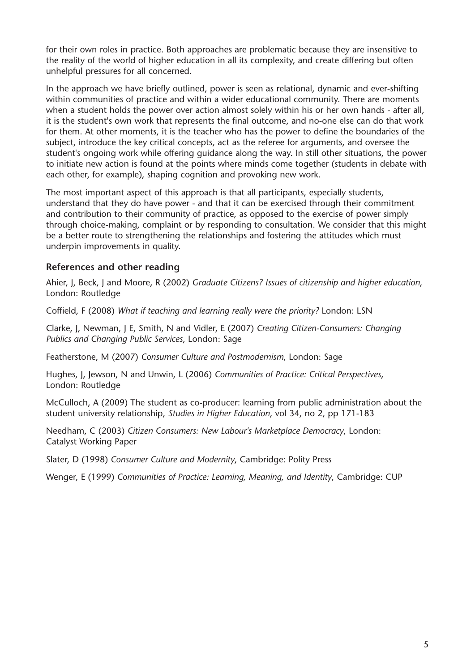for their own roles in practice. Both approaches are problematic because they are insensitive to the reality of the world of higher education in all its complexity, and create differing but often unhelpful pressures for all concerned.

In the approach we have briefly outlined, power is seen as relational, dynamic and ever-shifting within communities of practice and within a wider educational community. There are moments when a student holds the power over action almost solely within his or her own hands - after all, it is the student's own work that represents the final outcome, and no-one else can do that work for them. At other moments, it is the teacher who has the power to define the boundaries of the subject, introduce the key critical concepts, act as the referee for arguments, and oversee the student's ongoing work while offering guidance along the way. In still other situations, the power to initiate new action is found at the points where minds come together (students in debate with each other, for example), shaping cognition and provoking new work.

The most important aspect of this approach is that all participants, especially students, understand that they do have power - and that it can be exercised through their commitment and contribution to their community of practice, as opposed to the exercise of power simply through choice-making, complaint or by responding to consultation. We consider that this might be a better route to strengthening the relationships and fostering the attitudes which must underpin improvements in quality.

#### **References and other reading**

Ahier, J, Beck, J and Moore, R (2002) *Graduate Citizens? Issues of citizenship and higher education*, London: Routledge

Coffield, F (2008) *What if teaching and learning really were the priority?* London: LSN

Clarke, J, Newman, J E, Smith, N and Vidler, E (2007) *Creating Citizen-Consumers: Changing Publics and Changing Public Services*, London: Sage

Featherstone, M (2007) *Consumer Culture and Postmodernism*, London: Sage

Hughes, J, Jewson, N and Unwin, L (2006) *Communities of Practice: Critical Perspectives*, London: Routledge

McCulloch, A (2009) The student as co-producer: learning from public administration about the student university relationship, *Studies in Higher Education*, vol 34, no 2, pp 171-183

Needham, C (2003) *Citizen Consumers: New Labour's Marketplace Democracy*, London: Catalyst Working Paper

Slater, D (1998) *Consumer Culture and Modernity*, Cambridge: Polity Press

Wenger, E (1999) *Communities of Practice: Learning, Meaning, and Identity*, Cambridge: CUP